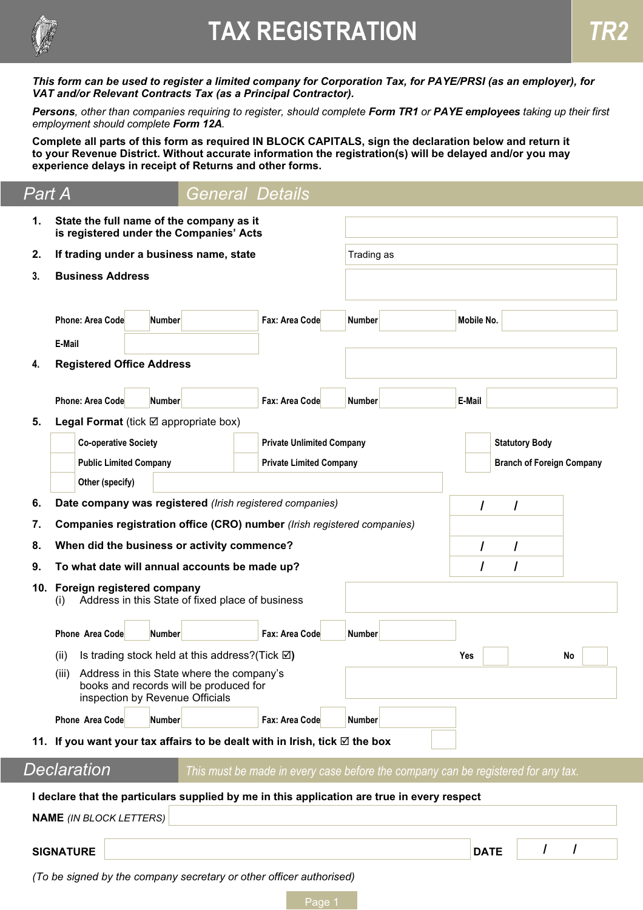

# **TAX REGISTRATION**

*This form can be used to register a limited company for Corporation Tax, for PAYE/PRSI (as an employer), for VAT and/or Relevant Contracts Tax (as a Principal Contractor).*

*Persons, other than companies requiring to register, should complete Form TR1 or PAYE employees taking up their first employment should complete Form 12A.*

**Complete all parts of this form as required IN BLOCK CAPITALS, sign the declaration below and return it to your Revenue District. Without accurate information the registration(s) will be delayed and/or you may experience delays in receipt of Returns and other forms.**

| <u>Part</u> A |                                                              |                                                                                                                              | General Details                                                                   |               |             |                                                           |    |  |  |
|---------------|--------------------------------------------------------------|------------------------------------------------------------------------------------------------------------------------------|-----------------------------------------------------------------------------------|---------------|-------------|-----------------------------------------------------------|----|--|--|
| 1.            |                                                              | State the full name of the company as it<br>is registered under the Companies' Acts                                          |                                                                                   |               |             |                                                           |    |  |  |
| 2.            |                                                              | If trading under a business name, state                                                                                      |                                                                                   | Trading as    |             |                                                           |    |  |  |
| 3.            | <b>Business Address</b>                                      |                                                                                                                              |                                                                                   |               |             |                                                           |    |  |  |
|               |                                                              |                                                                                                                              |                                                                                   |               |             |                                                           |    |  |  |
|               | <b>Phone: Area Code</b>                                      | <b>Number</b>                                                                                                                | Fax: Area Code                                                                    | <b>Number</b> | Mobile No.  |                                                           |    |  |  |
|               | E-Mail                                                       |                                                                                                                              |                                                                                   |               |             |                                                           |    |  |  |
| 4.            | <b>Registered Office Address</b>                             |                                                                                                                              |                                                                                   |               |             |                                                           |    |  |  |
|               |                                                              |                                                                                                                              |                                                                                   |               |             |                                                           |    |  |  |
|               | <b>Phone: Area Code</b>                                      | <b>Number</b>                                                                                                                | Fax: Area Code                                                                    | <b>Number</b> | E-Mail      |                                                           |    |  |  |
| 5.            |                                                              | <b>Legal Format</b> (tick $\boxtimes$ appropriate box)                                                                       |                                                                                   |               |             |                                                           |    |  |  |
|               | <b>Co-operative Society</b><br><b>Public Limited Company</b> |                                                                                                                              | <b>Private Unlimited Company</b><br><b>Private Limited Company</b>                |               |             | <b>Statutory Body</b><br><b>Branch of Foreign Company</b> |    |  |  |
|               | Other (specify)                                              |                                                                                                                              |                                                                                   |               |             |                                                           |    |  |  |
| 6.            |                                                              | Date company was registered (Irish registered companies)                                                                     |                                                                                   |               |             |                                                           |    |  |  |
| 7.            |                                                              | Companies registration office (CRO) number (Irish registered companies)                                                      |                                                                                   |               |             |                                                           |    |  |  |
| 8.            |                                                              | When did the business or activity commence?                                                                                  |                                                                                   |               | I           |                                                           |    |  |  |
| 9.            |                                                              | To what date will annual accounts be made up?                                                                                |                                                                                   |               | I           |                                                           |    |  |  |
|               | 10. Foreign registered company<br>(i)                        | Address in this State of fixed place of business                                                                             |                                                                                   |               |             |                                                           |    |  |  |
|               | <b>Phone Area Code</b>                                       | <b>Number</b>                                                                                                                | Fax: Area Code                                                                    | <b>Number</b> |             |                                                           |    |  |  |
|               | (ii)                                                         | Is trading stock held at this address? (Tick $\boxtimes$ )                                                                   |                                                                                   |               | Yes         |                                                           | No |  |  |
|               |                                                              | (iii) Address in this State where the company's<br>books and records will be produced for<br>inspection by Revenue Officials |                                                                                   |               |             |                                                           |    |  |  |
|               | Phone Area Code                                              | <b>Number</b>                                                                                                                | Fax: Area Code                                                                    | <b>Number</b> |             |                                                           |    |  |  |
|               |                                                              | 11. If you want your tax affairs to be dealt with in Irish, tick $\boxtimes$ the box                                         |                                                                                   |               |             |                                                           |    |  |  |
|               | Declaration                                                  |                                                                                                                              | This must be made in every case before the company can be registered for any tax. |               |             |                                                           |    |  |  |
|               |                                                              | I declare that the particulars supplied by me in this application are true in every respect                                  |                                                                                   |               |             |                                                           |    |  |  |
|               | <b>NAME</b> (IN BLOCK LETTERS)                               |                                                                                                                              |                                                                                   |               |             |                                                           |    |  |  |
|               |                                                              |                                                                                                                              |                                                                                   |               |             |                                                           |    |  |  |
|               | <b>SIGNATURE</b>                                             |                                                                                                                              |                                                                                   |               | <b>DATE</b> |                                                           |    |  |  |
|               |                                                              | (To be signed by the company secretary or other officer authorised)                                                          |                                                                                   |               |             |                                                           |    |  |  |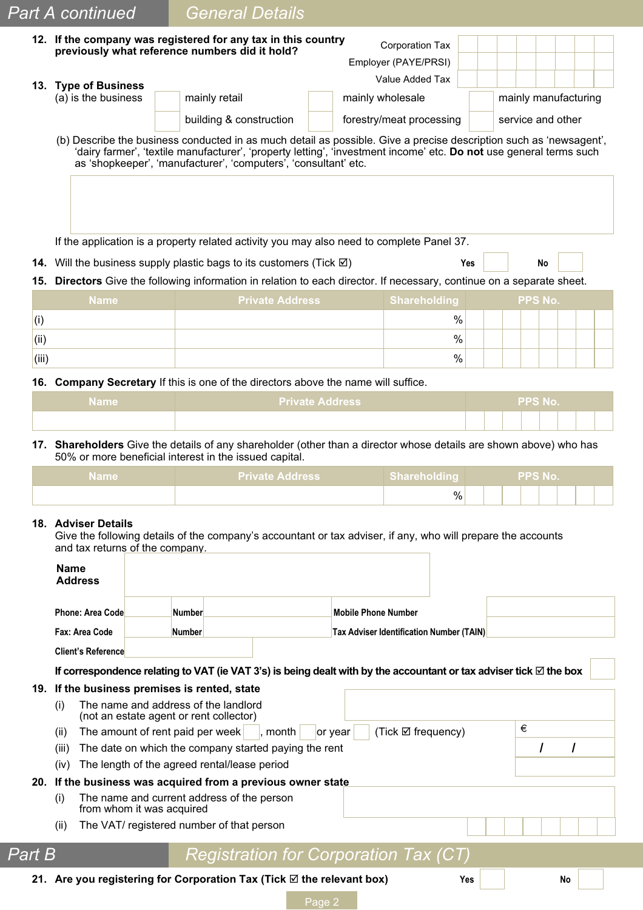|       | <b>Part A continued</b> | <b>General Details</b>                                                                                             |                                                |                      |
|-------|-------------------------|--------------------------------------------------------------------------------------------------------------------|------------------------------------------------|----------------------|
|       |                         | 12. If the company was registered for any tax in this country<br>previously what reference numbers did it hold?    | <b>Corporation Tax</b><br>Employer (PAYE/PRSI) |                      |
|       | 13. Type of Business    |                                                                                                                    | Value Added Tax                                |                      |
|       | (a) is the business     | mainly retail                                                                                                      | mainly wholesale                               | mainly manufacturing |
|       |                         | building & construction                                                                                            | forestry/meat processing                       | service and other    |
|       |                         | as 'shopkeeper', 'manufacturer', 'computers', 'consultant' etc.                                                    |                                                |                      |
|       |                         | If the application is a property related activity you may also need to complete Panel 37.                          |                                                |                      |
|       |                         | 14. Will the business supply plastic bags to its customers (Tick $\boxtimes$ )                                     | Yes                                            | <b>No</b>            |
| 15.   |                         | Directors Give the following information in relation to each director. If necessary, continue on a separate sheet. |                                                |                      |
|       | <b>Name</b>             | <b>Private Address</b>                                                                                             | <b>Shareholding</b>                            | PPS No.              |
| (i)   |                         |                                                                                                                    | $\%$                                           |                      |
| (ii)  |                         |                                                                                                                    | $\frac{0}{0}$<br>$\frac{0}{0}$                 |                      |
| (iii) |                         | 16. Company Secretary If this is one of the directors above the name will suffice.                                 |                                                |                      |

**17. Shareholders** Give the details of any shareholder (other than a director whose details are shown above) who has 50% or more beneficial interest in the issued capital.

| <b>Name</b> | <b>Private Address</b> | Shareholding | <b>Example 20 PPS No.</b> |  |  |  |  |  |
|-------------|------------------------|--------------|---------------------------|--|--|--|--|--|
|             |                        | %            |                           |  |  |  |  |  |

### **18. Adviser Details**

Give the following details of the company's accountant or tax adviser, if any, who will prepare the accounts and tax returns of the company.

|               | <b>Name</b>                                                    | <b>Address</b>                                                                                                               |  |                                             |                                                 |                                              |         |  |                    |     |   |    |  |
|---------------|----------------------------------------------------------------|------------------------------------------------------------------------------------------------------------------------------|--|---------------------------------------------|-------------------------------------------------|----------------------------------------------|---------|--|--------------------|-----|---|----|--|
|               |                                                                | <b>Phone: Area Code</b>                                                                                                      |  | <b>Mobile Phone Number</b><br><b>Number</b> |                                                 |                                              |         |  |                    |     |   |    |  |
|               |                                                                | Fax: Area Code                                                                                                               |  | <b>Number</b>                               | <b>Tax Adviser Identification Number (TAIN)</b> |                                              |         |  |                    |     |   |    |  |
|               |                                                                | <b>Client's Reference</b>                                                                                                    |  |                                             |                                                 |                                              |         |  |                    |     |   |    |  |
|               |                                                                | If correspondence relating to VAT (ie VAT 3's) is being dealt with by the accountant or tax adviser tick $\boxtimes$ the box |  |                                             |                                                 |                                              |         |  |                    |     |   |    |  |
|               |                                                                | 19. If the business premises is rented, state                                                                                |  |                                             |                                                 |                                              |         |  |                    |     |   |    |  |
|               | (i)                                                            | The name and address of the landlord<br>(not an estate agent or rent collector)                                              |  |                                             |                                                 |                                              |         |  |                    |     |   |    |  |
|               | (ii)                                                           | The amount of rent paid per week                                                                                             |  |                                             |                                                 | $\vert$ , month $\vert$                      | or year |  | (Tick ⊠ frequency) |     | € |    |  |
|               | The date on which the company started paying the rent<br>(iii) |                                                                                                                              |  |                                             |                                                 |                                              |         |  |                    |     |   |    |  |
|               | (iv)                                                           | The length of the agreed rental/lease period                                                                                 |  |                                             |                                                 |                                              |         |  |                    |     |   |    |  |
|               |                                                                | 20. If the business was acquired from a previous owner state                                                                 |  |                                             |                                                 |                                              |         |  |                    |     |   |    |  |
|               | (i)                                                            | The name and current address of the person<br>from whom it was acquired                                                      |  |                                             |                                                 |                                              |         |  |                    |     |   |    |  |
|               | (ii)                                                           | The VAT/ registered number of that person                                                                                    |  |                                             |                                                 |                                              |         |  |                    |     |   |    |  |
| <b>Part B</b> |                                                                |                                                                                                                              |  |                                             |                                                 | <b>Registration for Corporation Tax (CT)</b> |         |  |                    |     |   |    |  |
|               |                                                                | 21. Are you registering for Corporation Tax (Tick $\boxtimes$ the relevant box)                                              |  |                                             |                                                 |                                              |         |  |                    | Yes |   | No |  |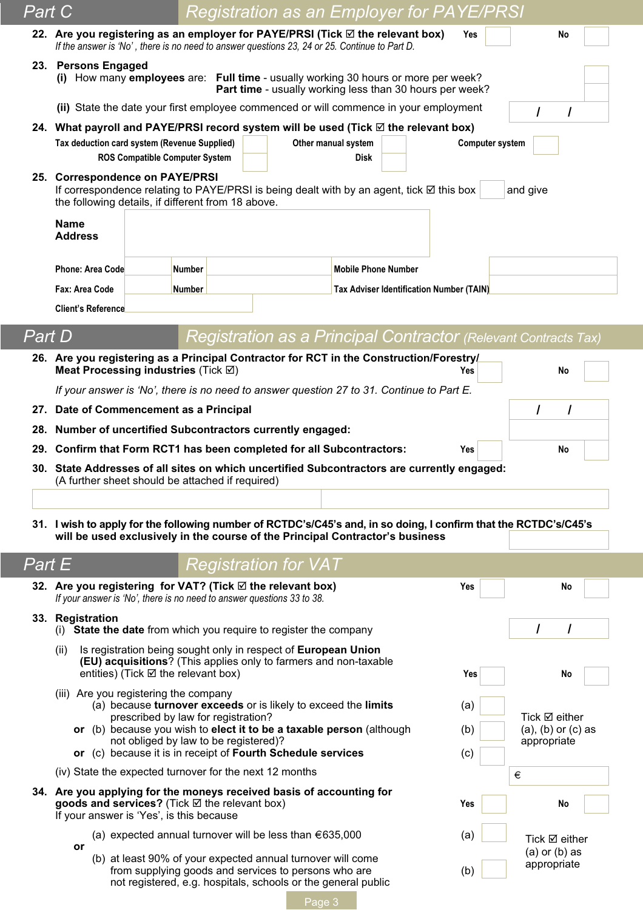| Part C                       |                                                                                                                                                                                                   |                                       |  |                                                                                                                       |                            |  | <b>Registration as an Employer for PAYE/PRSI</b>                |                        |                                                      |  |
|------------------------------|---------------------------------------------------------------------------------------------------------------------------------------------------------------------------------------------------|---------------------------------------|--|-----------------------------------------------------------------------------------------------------------------------|----------------------------|--|-----------------------------------------------------------------|------------------------|------------------------------------------------------|--|
|                              | 22. Are you registering as an employer for PAYE/PRSI (Tick ⊠ the relevant box)<br>If the answer is 'No', there is no need to answer questions 23, 24 or 25. Continue to Part D.                   |                                       |  |                                                                                                                       |                            |  | Yes                                                             |                        | No                                                   |  |
|                              | 23. Persons Engaged<br>(i) How many employees are: Full time - usually working 30 hours or more per week?<br>Part time - usually working less than 30 hours per week?                             |                                       |  |                                                                                                                       |                            |  |                                                                 |                        |                                                      |  |
|                              | (ii) State the date your first employee commenced or will commence in your employment                                                                                                             |                                       |  |                                                                                                                       |                            |  |                                                                 |                        |                                                      |  |
|                              | 24. What payroll and PAYE/PRSI record system will be used (Tick ⊠ the relevant box)                                                                                                               |                                       |  |                                                                                                                       |                            |  |                                                                 |                        |                                                      |  |
|                              | Tax deduction card system (Revenue Supplied)                                                                                                                                                      |                                       |  | Other manual system                                                                                                   |                            |  |                                                                 | <b>Computer system</b> |                                                      |  |
|                              | <b>ROS Compatible Computer System</b>                                                                                                                                                             |                                       |  |                                                                                                                       | <b>Disk</b>                |  |                                                                 |                        |                                                      |  |
|                              | 25. Correspondence on PAYE/PRSI<br>If correspondence relating to PAYE/PRSI is being dealt with by an agent, tick ⊠ this box<br>the following details, if different from 18 above.                 |                                       |  |                                                                                                                       |                            |  |                                                                 |                        | and give                                             |  |
|                              | <b>Name</b><br><b>Address</b>                                                                                                                                                                     |                                       |  |                                                                                                                       |                            |  |                                                                 |                        |                                                      |  |
|                              | <b>Phone: Area Code</b>                                                                                                                                                                           | <b>Number</b>                         |  |                                                                                                                       | <b>Mobile Phone Number</b> |  |                                                                 |                        |                                                      |  |
|                              | Fax: Area Code                                                                                                                                                                                    | <b>Number</b>                         |  |                                                                                                                       |                            |  | <b>Tax Adviser Identification Number (TAIN)</b>                 |                        |                                                      |  |
|                              | <b>Client's Reference</b>                                                                                                                                                                         |                                       |  |                                                                                                                       |                            |  |                                                                 |                        |                                                      |  |
|                              |                                                                                                                                                                                                   |                                       |  |                                                                                                                       |                            |  |                                                                 |                        |                                                      |  |
| $\overline{\mathit{Part}}$ D |                                                                                                                                                                                                   |                                       |  |                                                                                                                       |                            |  | Registration as a Principal Contractor (Relevant Contracts Tax) |                        |                                                      |  |
|                              | 26. Are you registering as a Principal Contractor for RCT in the Construction/Forestry/<br>Meat Processing industries (Tick Ø)                                                                    |                                       |  |                                                                                                                       |                            |  | Yes                                                             |                        | No                                                   |  |
|                              | If your answer is 'No', there is no need to answer question 27 to 31. Continue to Part E.                                                                                                         |                                       |  |                                                                                                                       |                            |  |                                                                 |                        |                                                      |  |
|                              | 27. Date of Commencement as a Principal                                                                                                                                                           |                                       |  |                                                                                                                       |                            |  |                                                                 |                        | $\prime$<br>I                                        |  |
|                              | 28. Number of uncertified Subcontractors currently engaged:                                                                                                                                       |                                       |  |                                                                                                                       |                            |  |                                                                 |                        |                                                      |  |
|                              | 29. Confirm that Form RCT1 has been completed for all Subcontractors:                                                                                                                             |                                       |  |                                                                                                                       |                            |  | Yes                                                             |                        | No                                                   |  |
|                              | 30. State Addresses of all sites on which uncertified Subcontractors are currently engaged:<br>(A further sheet should be attached if required)                                                   |                                       |  |                                                                                                                       |                            |  |                                                                 |                        |                                                      |  |
|                              |                                                                                                                                                                                                   |                                       |  |                                                                                                                       |                            |  |                                                                 |                        |                                                      |  |
|                              | 31. I wish to apply for the following number of RCTDC's/C45's and, in so doing, I confirm that the RCTDC's/C45's<br>will be used exclusively in the course of the Principal Contractor's business |                                       |  |                                                                                                                       |                            |  |                                                                 |                        |                                                      |  |
| <b>Part E</b>                |                                                                                                                                                                                                   |                                       |  | <b>Registration for VAT</b>                                                                                           |                            |  |                                                                 |                        |                                                      |  |
|                              | 32. Are you registering for VAT? (Tick $\boxtimes$ the relevant box)<br>If your answer is 'No', there is no need to answer questions 33 to 38.                                                    |                                       |  |                                                                                                                       |                            |  | Yes                                                             |                        | No                                                   |  |
|                              | 33. Registration<br>(i) State the date from which you require to register the company                                                                                                             |                                       |  |                                                                                                                       |                            |  |                                                                 |                        |                                                      |  |
|                              | Is registration being sought only in respect of European Union<br>(ii)<br>(EU) acquisitions? (This applies only to farmers and non-taxable                                                        |                                       |  |                                                                                                                       |                            |  |                                                                 |                        |                                                      |  |
|                              | entities) (Tick ⊠ the relevant box)                                                                                                                                                               |                                       |  |                                                                                                                       |                            |  | Yes                                                             |                        | No                                                   |  |
|                              | (iii) Are you registering the company<br>(a) because turnover exceeds or is likely to exceed the limits                                                                                           |                                       |  |                                                                                                                       |                            |  | (a)                                                             |                        |                                                      |  |
|                              | or (b) because you wish to elect it to be a taxable person (although                                                                                                                              | prescribed by law for registration?   |  |                                                                                                                       |                            |  | (b)                                                             |                        | Tick $\boxtimes$ either<br>$(a)$ , $(b)$ or $(c)$ as |  |
|                              |                                                                                                                                                                                                   | not obliged by law to be registered)? |  |                                                                                                                       |                            |  |                                                                 |                        | appropriate                                          |  |
|                              | or (c) because it is in receipt of Fourth Schedule services                                                                                                                                       |                                       |  |                                                                                                                       |                            |  | (c)                                                             |                        |                                                      |  |
|                              | (iv) State the expected turnover for the next 12 months                                                                                                                                           |                                       |  |                                                                                                                       |                            |  |                                                                 |                        | €                                                    |  |
|                              | 34. Are you applying for the moneys received basis of accounting for<br>goods and services? (Tick ⊠ the relevant box)<br>If your answer is 'Yes', is this because                                 |                                       |  |                                                                                                                       |                            |  | Yes                                                             |                        | No                                                   |  |
|                              | (a) expected annual turnover will be less than $\epsilon$ 635,000                                                                                                                                 |                                       |  |                                                                                                                       |                            |  | (a)                                                             |                        | Tick $\boxtimes$ either                              |  |
|                              | or                                                                                                                                                                                                |                                       |  |                                                                                                                       |                            |  |                                                                 |                        | $(a)$ or $(b)$ as                                    |  |
|                              | (b) at least 90% of your expected annual turnover will come                                                                                                                                       |                                       |  | from supplying goods and services to persons who are<br>not registered, e.g. hospitals, schools or the general public |                            |  | (b)                                                             |                        | appropriate                                          |  |